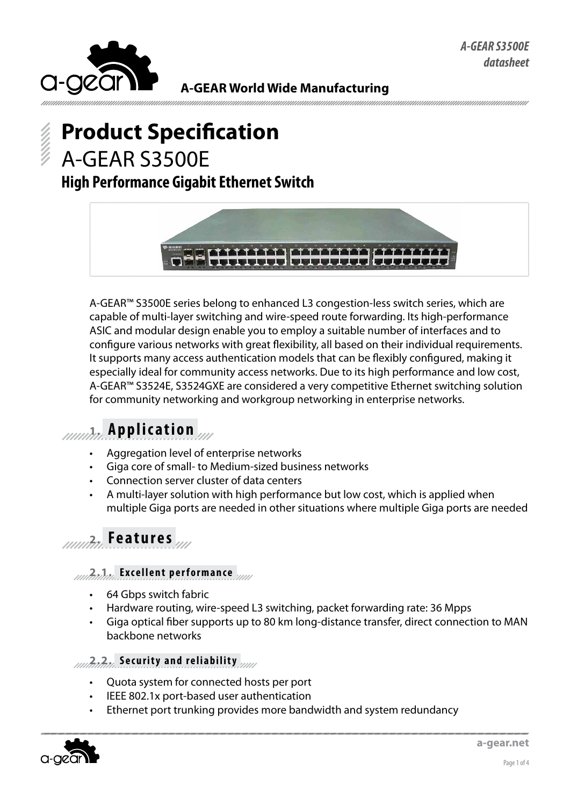

#### **A-GEAR World Wide Manufacturing**

# **Product Specification** A-GEAR S3500E

### **High Performance Gigabit Ethernet Switch**



A-GEAR™ S3500E series belong to enhanced L3 congestion-less switch series, which are capable of multi-layer switching and wire-speed route forwarding. Its high-performance ASIC and modular design enable you to employ a suitable number of interfaces and to configure various networks with great flexibility, all based on their individual requirements. It supports many access authentication models that can be flexibly configured, making it especially ideal for community access networks. Due to its high performance and low cost, A-GEAR™ S3524E, S3524GXE are considered a very competitive Ethernet switching solution for community networking and workgroup networking in enterprise networks.

# **1. Application**

- Aggregation level of enterprise networks
- • Giga core of small- to Medium-sized business networks
- • Connection server cluster of data centers
- A multi-layer solution with high performance but low cost, which is applied when multiple Giga ports are needed in other situations where multiple Giga ports are needed

# **2. Features**

#### *2.1.2.* **Excellent performance**

- 64 Gbps switch fabric
- Hardware routing, wire-speed L3 switching, packet forwarding rate: 36 Mpps
- Giga optical fiber supports up to 80 km long-distance transfer, direct connection to MAN backbone networks

#### **2.2. Security and reliability**

- Quota system for connected hosts per port
- IEEE 802.1x port-based user authentication
- Ethernet port trunking provides more bandwidth and system redundancy

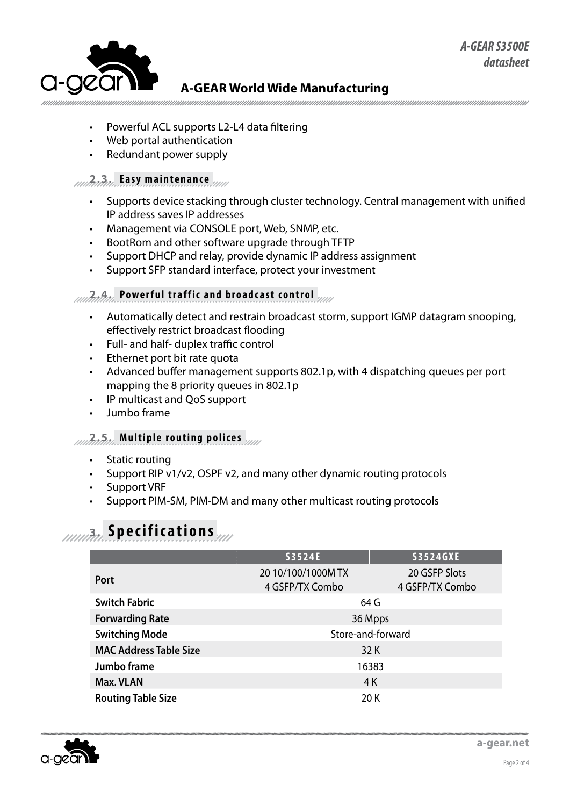

#### **A-GEAR World Wide Manufacturing**

- Powerful ACL supports L2-L4 data filtering
- Web portal authentication
- Redundant power supply

#### **2.3. Easy maintenance**

- Supports device stacking through cluster technology. Central management with unified IP address saves IP addresses
- Management via CONSOLE port, Web, SNMP, etc.
- • BootRom and other software upgrade through TFTP
- Support DHCP and relay, provide dynamic IP address assignment
- • Support SFP standard interface, protect your investment

#### **2.4. Powerful traffic and broadcast control**

- Automatically detect and restrain broadcast storm, support IGMP datagram snooping, effectively restrict broadcast flooding
- • Full- and half- duplex traffic control
- • Ethernet port bit rate quota
- Advanced buffer management supports 802.1p, with 4 dispatching queues per port mapping the 8 priority queues in 802.1p
- • IP multicast and QoS support
- Jumbo frame

#### **2.5. Multiple routing polices**

- Static routing
- Support RIP v1/v2, OSPF v2, and many other dynamic routing protocols
- Support VRF
- Support PIM-SM, PIM-DM and many other multicast routing protocols

# **3. Specifications**

|                               | S3524E                                | <b>S3524GXE</b>                  |  |
|-------------------------------|---------------------------------------|----------------------------------|--|
| Port                          | 20 10/100/1000M TX<br>4 GSFP/TX Combo | 20 GSFP Slots<br>4 GSFP/TX Combo |  |
| <b>Switch Fabric</b>          | 64 G                                  |                                  |  |
| <b>Forwarding Rate</b>        | 36 Mpps                               |                                  |  |
| <b>Switching Mode</b>         | Store-and-forward                     |                                  |  |
| <b>MAC Address Table Size</b> | 32 K                                  |                                  |  |
| Jumbo frame                   | 16383                                 |                                  |  |
| Max. VLAN                     | 4 K                                   |                                  |  |
| <b>Routing Table Size</b>     | 20K                                   |                                  |  |

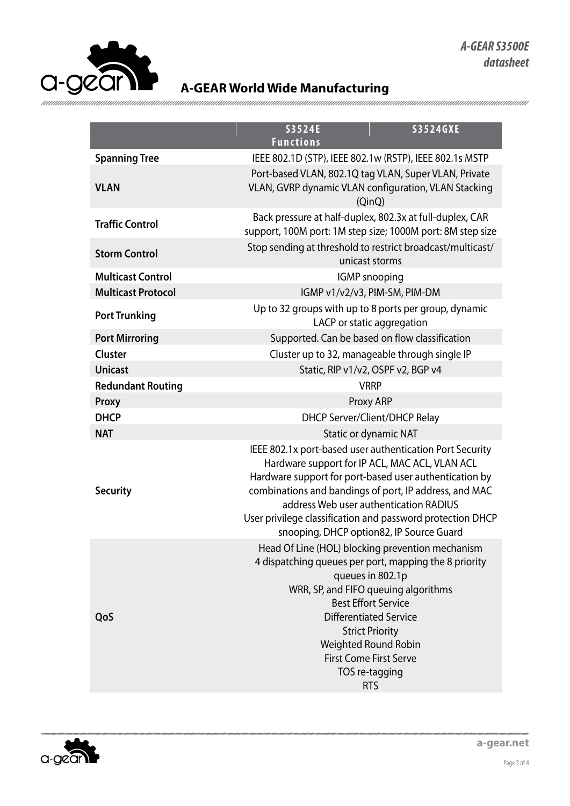

#### **A-GEAR World Wide Manufacturing**

| S3524E<br><b>S3524GXE</b><br><b>Functions</b>                                                                                                                                                                                                                                                                                                                                      |  |
|------------------------------------------------------------------------------------------------------------------------------------------------------------------------------------------------------------------------------------------------------------------------------------------------------------------------------------------------------------------------------------|--|
| IEEE 802.1D (STP), IEEE 802.1w (RSTP), IEEE 802.1s MSTP                                                                                                                                                                                                                                                                                                                            |  |
| Port-based VLAN, 802.1Q tag VLAN, Super VLAN, Private<br>VLAN, GVRP dynamic VLAN configuration, VLAN Stacking<br>(QinQ)                                                                                                                                                                                                                                                            |  |
| Back pressure at half-duplex, 802.3x at full-duplex, CAR<br>support, 100M port: 1M step size; 1000M port: 8M step size                                                                                                                                                                                                                                                             |  |
| Stop sending at threshold to restrict broadcast/multicast/<br>unicast storms                                                                                                                                                                                                                                                                                                       |  |
| <b>IGMP</b> snooping                                                                                                                                                                                                                                                                                                                                                               |  |
| IGMP v1/v2/v3, PIM-SM, PIM-DM                                                                                                                                                                                                                                                                                                                                                      |  |
| Up to 32 groups with up to 8 ports per group, dynamic<br>LACP or static aggregation                                                                                                                                                                                                                                                                                                |  |
| Supported. Can be based on flow classification                                                                                                                                                                                                                                                                                                                                     |  |
| Cluster up to 32, manageable through single IP                                                                                                                                                                                                                                                                                                                                     |  |
| Static, RIP v1/v2, OSPF v2, BGP v4                                                                                                                                                                                                                                                                                                                                                 |  |
| <b>VRRP</b>                                                                                                                                                                                                                                                                                                                                                                        |  |
| Proxy ARP                                                                                                                                                                                                                                                                                                                                                                          |  |
| <b>DHCP Server/Client/DHCP Relay</b>                                                                                                                                                                                                                                                                                                                                               |  |
| <b>Static or dynamic NAT</b>                                                                                                                                                                                                                                                                                                                                                       |  |
| IEEE 802.1x port-based user authentication Port Security<br>Hardware support for IP ACL, MAC ACL, VLAN ACL<br>Hardware support for port-based user authentication by<br>combinations and bandings of port, IP address, and MAC<br>address Web user authentication RADIUS<br>User privilege classification and password protection DHCP<br>snooping, DHCP option82, IP Source Guard |  |
| Head Of Line (HOL) blocking prevention mechanism<br>4 dispatching queues per port, mapping the 8 priority<br>queues in 802.1p<br>WRR, SP, and FIFO queuing algorithms<br><b>Best Effort Service</b><br><b>Differentiated Service</b><br><b>Strict Priority</b><br>Weighted Round Robin<br><b>First Come First Serve</b><br>TOS re-tagging<br><b>RTS</b>                            |  |
|                                                                                                                                                                                                                                                                                                                                                                                    |  |